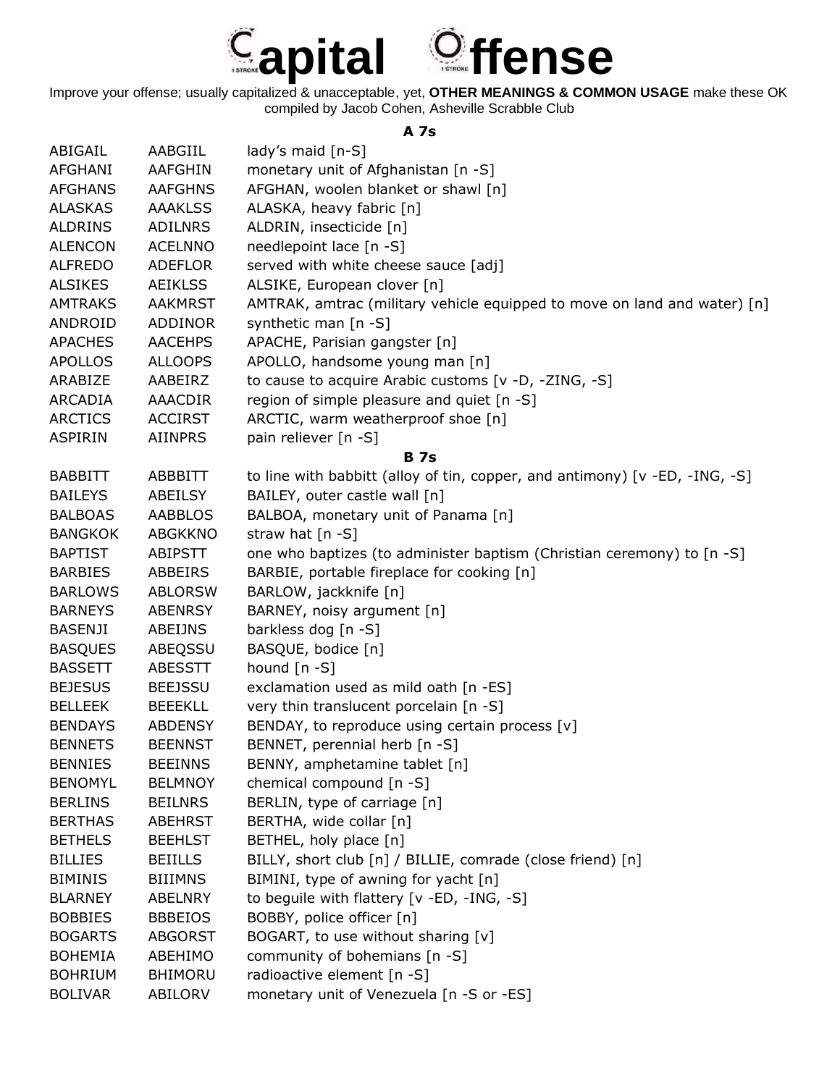

## **A 7s**

| ABIGAIL        | AABGIIL        | lady's maid [n-S]                                                              |
|----------------|----------------|--------------------------------------------------------------------------------|
| <b>AFGHANI</b> | <b>AAFGHIN</b> | monetary unit of Afghanistan [n -S]                                            |
| <b>AFGHANS</b> | <b>AAFGHNS</b> | AFGHAN, woolen blanket or shawl [n]                                            |
| <b>ALASKAS</b> | <b>AAAKLSS</b> | ALASKA, heavy fabric [n]                                                       |
| <b>ALDRINS</b> | ADILNRS        | ALDRIN, insecticide [n]                                                        |
| <b>ALENCON</b> | <b>ACELNNO</b> | needlepoint lace [n -S]                                                        |
| <b>ALFREDO</b> | <b>ADEFLOR</b> | served with white cheese sauce [adj]                                           |
| <b>ALSIKES</b> | <b>AEIKLSS</b> | ALSIKE, European clover [n]                                                    |
| <b>AMTRAKS</b> | <b>AAKMRST</b> | AMTRAK, amtrac (military vehicle equipped to move on land and water) [n]       |
| ANDROID        | ADDINOR        | synthetic man [n -S]                                                           |
| <b>APACHES</b> | <b>AACEHPS</b> | APACHE, Parisian gangster [n]                                                  |
| <b>APOLLOS</b> | <b>ALLOOPS</b> | APOLLO, handsome young man [n]                                                 |
| ARABIZE        | AABEIRZ        | to cause to acquire Arabic customs [v -D, -ZING, -S]                           |
| ARCADIA        | AAACDIR        | region of simple pleasure and quiet [n -S]                                     |
| <b>ARCTICS</b> | <b>ACCIRST</b> | ARCTIC, warm weatherproof shoe [n]                                             |
| <b>ASPIRIN</b> | <b>AIINPRS</b> | pain reliever [n -S]                                                           |
|                |                | <b>B</b> 7s                                                                    |
| <b>BABBITT</b> | <b>ABBBITT</b> | to line with babbitt (alloy of tin, copper, and antimony) $[v - ED, -ING, -S]$ |
| <b>BAILEYS</b> | ABEILSY        | BAILEY, outer castle wall [n]                                                  |
| <b>BALBOAS</b> | <b>AABBLOS</b> | BALBOA, monetary unit of Panama [n]                                            |
| <b>BANGKOK</b> | <b>ABGKKNO</b> | straw hat $[n -S]$                                                             |
| <b>BAPTIST</b> | ABIPSTT        | one who baptizes (to administer baptism (Christian ceremony) to [n -S]         |
| <b>BARBIES</b> | ABBEIRS        | BARBIE, portable fireplace for cooking [n]                                     |
| <b>BARLOWS</b> | <b>ABLORSW</b> | BARLOW, jackknife [n]                                                          |
| <b>BARNEYS</b> | <b>ABENRSY</b> | BARNEY, noisy argument [n]                                                     |
| <b>BASENJI</b> | ABEIJNS        | barkless dog [n -S]                                                            |
| <b>BASQUES</b> | ABEQSSU        | BASQUE, bodice [n]                                                             |
| <b>BASSETT</b> | <b>ABESSTT</b> | hound $[n - S]$                                                                |
| <b>BEJESUS</b> | <b>BEEJSSU</b> | exclamation used as mild oath [n -ES]                                          |
| <b>BELLEEK</b> | <b>BEEEKLL</b> | very thin translucent porcelain [n -S]                                         |
| <b>BENDAYS</b> | <b>ABDENSY</b> | BENDAY, to reproduce using certain process [v]                                 |
| <b>BENNETS</b> | <b>BEENNST</b> | BENNET, perennial herb [n -S]                                                  |
| <b>BENNIES</b> | <b>BEEINNS</b> | BENNY, amphetamine tablet [n]                                                  |
| <b>BENOMYL</b> | <b>BELMNOY</b> | chemical compound [n -S]                                                       |
| <b>BERLINS</b> | <b>BEILNRS</b> | BERLIN, type of carriage [n]                                                   |
| <b>BERTHAS</b> | <b>ABEHRST</b> | BERTHA, wide collar [n]                                                        |
| <b>BETHELS</b> | <b>BEEHLST</b> | BETHEL, holy place [n]                                                         |
| <b>BILLIES</b> | <b>BEIILLS</b> | BILLY, short club [n] / BILLIE, comrade (close friend) [n]                     |
| <b>BIMINIS</b> | <b>BIIIMNS</b> | BIMINI, type of awning for yacht [n]                                           |
| <b>BLARNEY</b> | <b>ABELNRY</b> | to beguile with flattery [v -ED, -ING, -S]                                     |
| <b>BOBBIES</b> | <b>BBBEIOS</b> | BOBBY, police officer [n]                                                      |
| <b>BOGARTS</b> | <b>ABGORST</b> | BOGART, to use without sharing [v]                                             |
| <b>BOHEMIA</b> | ABEHIMO        | community of bohemians [n -S]                                                  |
| <b>BOHRIUM</b> | <b>BHIMORU</b> | radioactive element [n -S]                                                     |
| <b>BOLIVAR</b> | ABILORV        | monetary unit of Venezuela [n -S or -ES]                                       |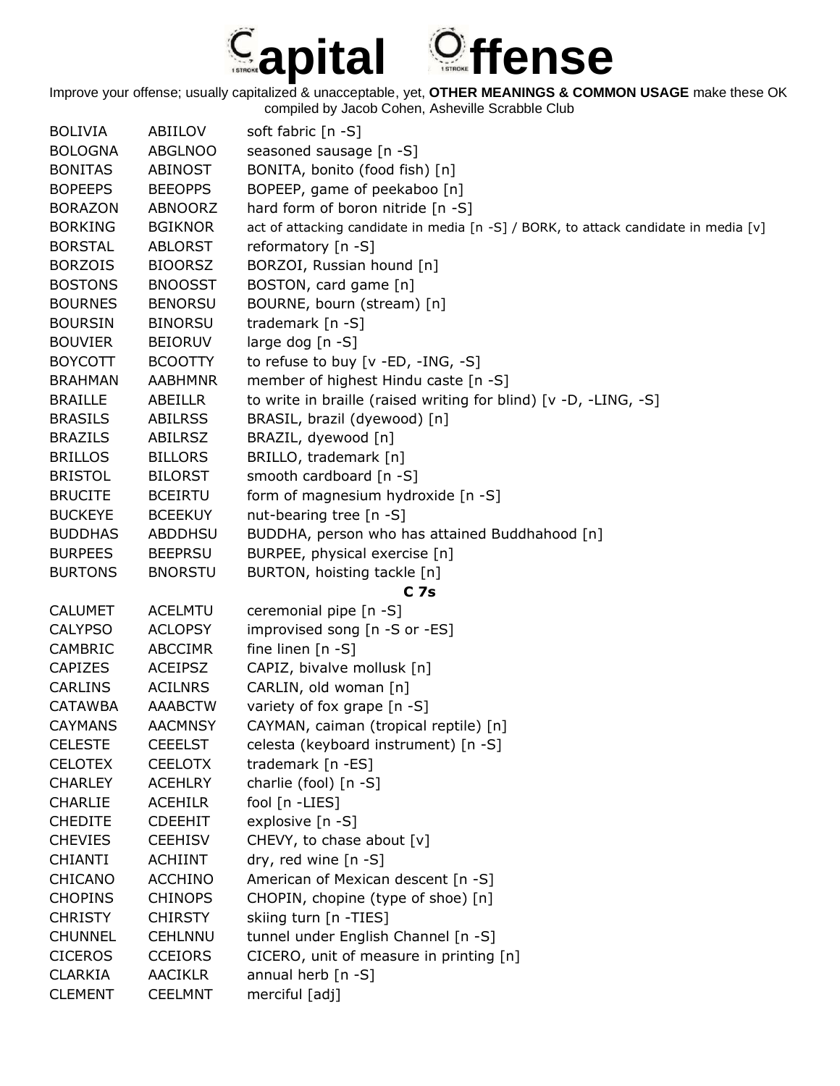## **apital ffense**

| <b>BOLIVIA</b> | ABIILOV        | soft fabric [n -S]                                                                  |
|----------------|----------------|-------------------------------------------------------------------------------------|
| <b>BOLOGNA</b> | <b>ABGLNOO</b> | seasoned sausage [n -S]                                                             |
| <b>BONITAS</b> | <b>ABINOST</b> | BONITA, bonito (food fish) [n]                                                      |
| <b>BOPEEPS</b> | <b>BEEOPPS</b> | BOPEEP, game of peekaboo [n]                                                        |
| <b>BORAZON</b> | ABNOORZ        | hard form of boron nitride [n -S]                                                   |
| <b>BORKING</b> | <b>BGIKNOR</b> | act of attacking candidate in media [n -S] / BORK, to attack candidate in media [v] |
| <b>BORSTAL</b> | <b>ABLORST</b> | reformatory [n -S]                                                                  |
| <b>BORZOIS</b> | <b>BIOORSZ</b> | BORZOI, Russian hound [n]                                                           |
| <b>BOSTONS</b> | <b>BNOOSST</b> | BOSTON, card game [n]                                                               |
| <b>BOURNES</b> | <b>BENORSU</b> | BOURNE, bourn (stream) [n]                                                          |
| <b>BOURSIN</b> | <b>BINORSU</b> | trademark [n -S]                                                                    |
| <b>BOUVIER</b> | <b>BEIORUV</b> | large dog [n -S]                                                                    |
| <b>BOYCOTT</b> | <b>BCOOTTY</b> | to refuse to buy [v -ED, -ING, -S]                                                  |
| <b>BRAHMAN</b> | <b>AABHMNR</b> | member of highest Hindu caste [n -S]                                                |
| <b>BRAILLE</b> | ABEILLR        | to write in braille (raised writing for blind) [v -D, -LING, -S]                    |
| <b>BRASILS</b> | <b>ABILRSS</b> | BRASIL, brazil (dyewood) [n]                                                        |
| <b>BRAZILS</b> | <b>ABILRSZ</b> | BRAZIL, dyewood [n]                                                                 |
| <b>BRILLOS</b> | <b>BILLORS</b> | BRILLO, trademark [n]                                                               |
| <b>BRISTOL</b> | <b>BILORST</b> | smooth cardboard [n -S]                                                             |
| <b>BRUCITE</b> | <b>BCEIRTU</b> | form of magnesium hydroxide [n -S]                                                  |
| <b>BUCKEYE</b> | <b>BCEEKUY</b> | nut-bearing tree [n -S]                                                             |
| <b>BUDDHAS</b> | ABDDHSU        | BUDDHA, person who has attained Buddhahood [n]                                      |
| <b>BURPEES</b> | <b>BEEPRSU</b> | BURPEE, physical exercise [n]                                                       |
| <b>BURTONS</b> | <b>BNORSTU</b> | BURTON, hoisting tackle [n]                                                         |
|                |                | C <sub>7s</sub>                                                                     |
| <b>CALUMET</b> | <b>ACELMTU</b> | ceremonial pipe [n -S]                                                              |
| <b>CALYPSO</b> | <b>ACLOPSY</b> | improvised song [n -S or -ES]                                                       |
| <b>CAMBRIC</b> | <b>ABCCIMR</b> | fine linen $[n - S]$                                                                |
| <b>CAPIZES</b> | <b>ACEIPSZ</b> | CAPIZ, bivalve mollusk [n]                                                          |
| <b>CARLINS</b> | <b>ACILNRS</b> | CARLIN, old woman [n]                                                               |
| <b>CATAWBA</b> | <b>AAABCTW</b> | variety of fox grape [n -S]                                                         |
| <b>CAYMANS</b> | <b>AACMNSY</b> | CAYMAN, caiman (tropical reptile) [n]                                               |
| <b>CELESTE</b> | <b>CEEELST</b> | celesta (keyboard instrument) [n -S]                                                |
| <b>CELOTEX</b> | <b>CEELOTX</b> | trademark [n -ES]                                                                   |
| <b>CHARLEY</b> | <b>ACEHLRY</b> | charlie (fool) [n -S]                                                               |
| <b>CHARLIE</b> | <b>ACEHILR</b> | fool [n -LIES]                                                                      |
| <b>CHEDITE</b> | <b>CDEEHIT</b> | explosive [n -S]                                                                    |
| <b>CHEVIES</b> | <b>CEEHISV</b> | CHEVY, to chase about [v]                                                           |
| <b>CHIANTI</b> | <b>ACHIINT</b> | dry, red wine $[n - S]$                                                             |
| CHICANO        | <b>ACCHINO</b> | American of Mexican descent [n -S]                                                  |
| <b>CHOPINS</b> | <b>CHINOPS</b> | CHOPIN, chopine (type of shoe) [n]                                                  |
| <b>CHRISTY</b> | <b>CHIRSTY</b> | skiing turn [n -TIES]                                                               |
| <b>CHUNNEL</b> | <b>CEHLNNU</b> | tunnel under English Channel [n -S]                                                 |
| <b>CICEROS</b> | <b>CCEIORS</b> | CICERO, unit of measure in printing [n]                                             |
| <b>CLARKIA</b> | <b>AACIKLR</b> | annual herb [n -S]                                                                  |
| <b>CLEMENT</b> | <b>CEELMNT</b> | merciful [adj]                                                                      |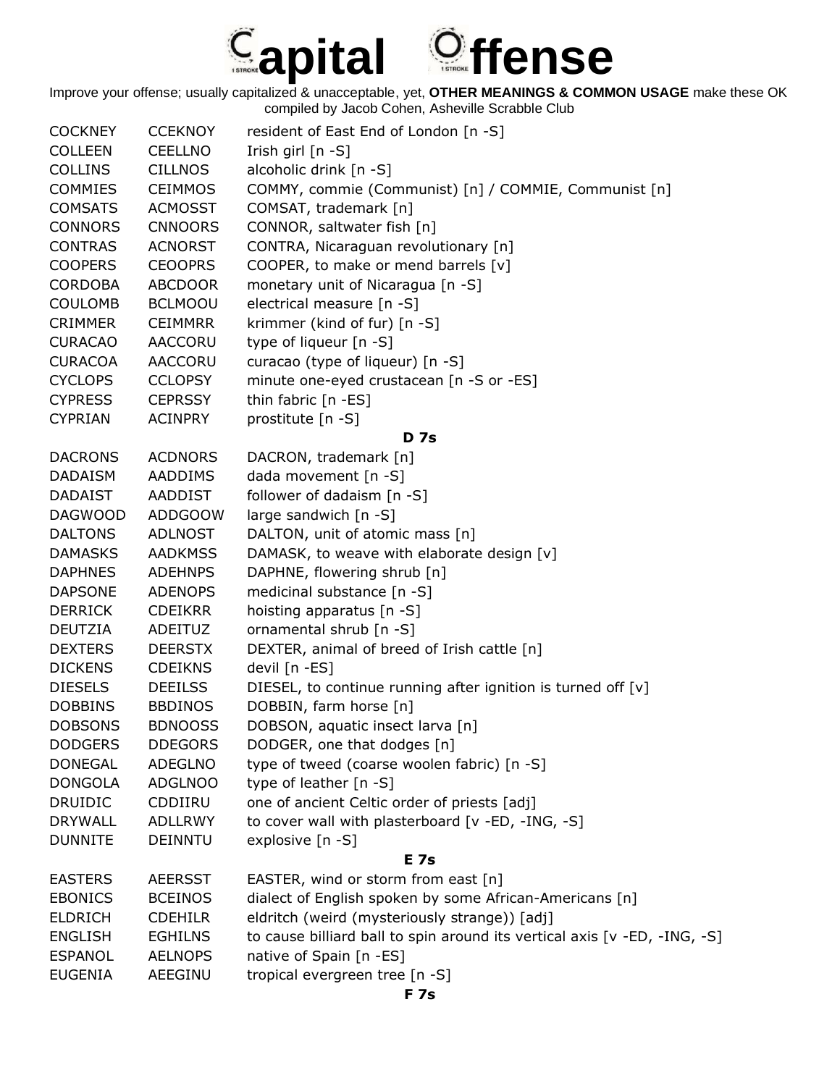

| <b>CCEKNOY</b> | resident of East End of London [n -S]                                     |
|----------------|---------------------------------------------------------------------------|
| <b>CEELLNO</b> | Irish girl [n -S]                                                         |
| <b>CILLNOS</b> | alcoholic drink [n -S]                                                    |
| <b>CEIMMOS</b> | COMMY, commie (Communist) [n] / COMMIE, Communist [n]                     |
| <b>ACMOSST</b> | COMSAT, trademark [n]                                                     |
| <b>CNNOORS</b> | CONNOR, saltwater fish [n]                                                |
| <b>ACNORST</b> | CONTRA, Nicaraguan revolutionary [n]                                      |
| <b>CEOOPRS</b> | COOPER, to make or mend barrels [v]                                       |
| <b>ABCDOOR</b> | monetary unit of Nicaragua [n -S]                                         |
| <b>BCLMOOU</b> | electrical measure [n -S]                                                 |
| <b>CEIMMRR</b> | krimmer (kind of fur) [n -S]                                              |
| AACCORU        | type of liqueur [n -S]                                                    |
| AACCORU        | curacao (type of liqueur) [n -S]                                          |
| <b>CCLOPSY</b> | minute one-eyed crustacean [n -S or -ES]                                  |
| <b>CEPRSSY</b> | thin fabric [n -ES]                                                       |
| <b>ACINPRY</b> | prostitute [n -S]                                                         |
|                | <b>D</b> 7s                                                               |
| <b>ACDNORS</b> | DACRON, trademark [n]                                                     |
| AADDIMS        | dada movement [n -S]                                                      |
| AADDIST        | follower of dadaism [n -S]                                                |
| <b>ADDGOOW</b> | large sandwich [n -S]                                                     |
| <b>ADLNOST</b> | DALTON, unit of atomic mass [n]                                           |
| <b>AADKMSS</b> | DAMASK, to weave with elaborate design [v]                                |
| <b>ADEHNPS</b> | DAPHNE, flowering shrub [n]                                               |
| <b>ADENOPS</b> | medicinal substance [n -S]                                                |
| <b>CDEIKRR</b> | hoisting apparatus [n -S]                                                 |
| ADEITUZ        | ornamental shrub [n -S]                                                   |
| <b>DEERSTX</b> | DEXTER, animal of breed of Irish cattle [n]                               |
| <b>CDEIKNS</b> | devil [n -ES]                                                             |
| <b>DEEILSS</b> | DIESEL, to continue running after ignition is turned off $[v]$            |
| <b>BBDINOS</b> | DOBBIN, farm horse [n]                                                    |
| <b>BDNOOSS</b> | DOBSON, aquatic insect larva [n]                                          |
| <b>DDEGORS</b> | DODGER, one that dodges [n]                                               |
| <b>ADEGLNO</b> | type of tweed (coarse woolen fabric) [n -S]                               |
| <b>ADGLNOO</b> | type of leather [n -S]                                                    |
| CDDIIRU        | one of ancient Celtic order of priests [adj]                              |
| <b>ADLLRWY</b> | to cover wall with plasterboard [v -ED, -ING, -S]                         |
| <b>DEINNTU</b> | explosive [n -S]                                                          |
|                | E 7s                                                                      |
| <b>AEERSST</b> | EASTER, wind or storm from east [n]                                       |
| <b>BCEINOS</b> | dialect of English spoken by some African-Americans [n]                   |
| <b>CDEHILR</b> | eldritch (weird (mysteriously strange)) [adj]                             |
| <b>EGHILNS</b> | to cause billiard ball to spin around its vertical axis [v -ED, -ING, -S] |
| <b>AELNOPS</b> | native of Spain [n -ES]                                                   |
| AEEGINU        | tropical evergreen tree [n -S]                                            |
|                |                                                                           |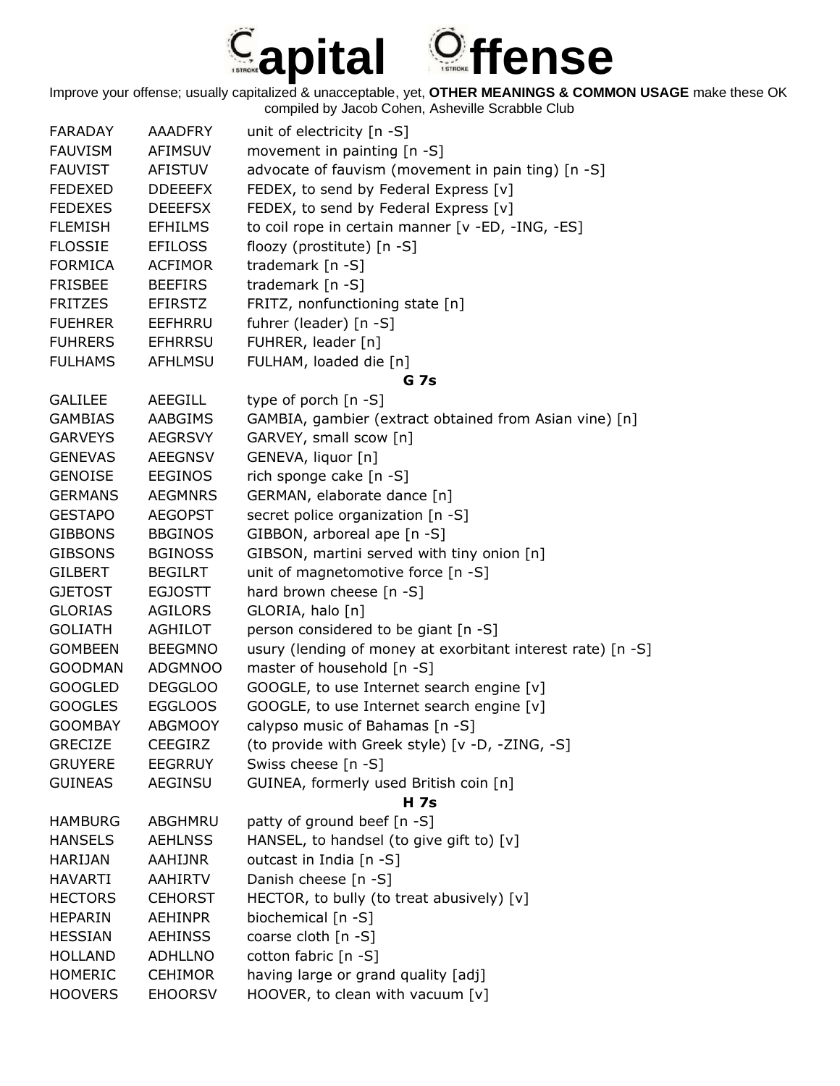

| <b>FARADAY</b> | <b>AAADFRY</b> | unit of electricity [n -S]                                  |
|----------------|----------------|-------------------------------------------------------------|
| <b>FAUVISM</b> | <b>AFIMSUV</b> | movement in painting [n -S]                                 |
| <b>FAUVIST</b> | AFISTUV        | advocate of fauvism (movement in pain ting) [n -S]          |
| <b>FEDEXED</b> | <b>DDEEEFX</b> | FEDEX, to send by Federal Express [v]                       |
| <b>FEDEXES</b> | <b>DEEEFSX</b> | FEDEX, to send by Federal Express [v]                       |
| <b>FLEMISH</b> | <b>EFHILMS</b> | to coil rope in certain manner [v -ED, -ING, -ES]           |
| <b>FLOSSIE</b> | <b>EFILOSS</b> | floozy (prostitute) [n -S]                                  |
| <b>FORMICA</b> | <b>ACFIMOR</b> | trademark [n -S]                                            |
| <b>FRISBEE</b> | <b>BEEFIRS</b> | trademark [n -S]                                            |
| <b>FRITZES</b> | <b>EFIRSTZ</b> | FRITZ, nonfunctioning state [n]                             |
| <b>FUEHRER</b> | EEFHRRU        | fuhrer (leader) [n -S]                                      |
| <b>FUHRERS</b> | <b>EFHRRSU</b> | FUHRER, leader [n]                                          |
| <b>FULHAMS</b> | <b>AFHLMSU</b> | FULHAM, loaded die [n]                                      |
|                |                | G 7s                                                        |
| <b>GALILEE</b> | AEEGILL        | type of porch [n -S]                                        |
| <b>GAMBIAS</b> | AABGIMS        | GAMBIA, gambier (extract obtained from Asian vine) [n]      |
| <b>GARVEYS</b> | <b>AEGRSVY</b> | GARVEY, small scow [n]                                      |
| <b>GENEVAS</b> | <b>AEEGNSV</b> | GENEVA, liquor [n]                                          |
| <b>GENOISE</b> | <b>EEGINOS</b> | rich sponge cake [n -S]                                     |
| <b>GERMANS</b> | <b>AEGMNRS</b> | GERMAN, elaborate dance [n]                                 |
| <b>GESTAPO</b> | <b>AEGOPST</b> | secret police organization [n -S]                           |
| <b>GIBBONS</b> | <b>BBGINOS</b> | GIBBON, arboreal ape [n -S]                                 |
| <b>GIBSONS</b> | <b>BGINOSS</b> | GIBSON, martini served with tiny onion [n]                  |
| <b>GILBERT</b> | <b>BEGILRT</b> | unit of magnetomotive force [n -S]                          |
| <b>GJETOST</b> | <b>EGJOSTT</b> | hard brown cheese [n -S]                                    |
| <b>GLORIAS</b> | <b>AGILORS</b> | GLORIA, halo [n]                                            |
| <b>GOLIATH</b> | AGHILOT        | person considered to be giant [n -S]                        |
| <b>GOMBEEN</b> | <b>BEEGMNO</b> | usury (lending of money at exorbitant interest rate) [n -S] |
| <b>GOODMAN</b> | <b>ADGMNOO</b> | master of household [n -S]                                  |
| <b>GOOGLED</b> | <b>DEGGLOO</b> | GOOGLE, to use Internet search engine [v]                   |
| <b>GOOGLES</b> | <b>EGGLOOS</b> | GOOGLE, to use Internet search engine [v]                   |
| <b>GOOMBAY</b> | <b>ABGMOOY</b> | calypso music of Bahamas [n -S]                             |
| <b>GRECIZE</b> | <b>CEEGIRZ</b> | (to provide with Greek style) [v -D, -ZING, -S]             |
| <b>GRUYERE</b> | <b>EEGRRUY</b> | Swiss cheese [n -S]                                         |
| <b>GUINEAS</b> | AEGINSU        | GUINEA, formerly used British coin [n]                      |
|                |                | <b>H</b> 7s                                                 |
| <b>HAMBURG</b> | ABGHMRU        | patty of ground beef [n -S]                                 |
| <b>HANSELS</b> | <b>AEHLNSS</b> | HANSEL, to handsel (to give gift to) [v]                    |
| <b>HARIJAN</b> | <b>AAHIJNR</b> | outcast in India [n -S]                                     |
| <b>HAVARTI</b> | <b>AAHIRTV</b> | Danish cheese [n -S]                                        |
| <b>HECTORS</b> | <b>CEHORST</b> | HECTOR, to bully (to treat abusively) [v]                   |
| <b>HEPARIN</b> | <b>AEHINPR</b> | biochemical [n -S]                                          |
| <b>HESSIAN</b> | <b>AEHINSS</b> | coarse cloth [n -S]                                         |
| <b>HOLLAND</b> | <b>ADHLLNO</b> | cotton fabric [n -S]                                        |
|                |                |                                                             |
| <b>HOMERIC</b> | <b>CEHIMOR</b> | having large or grand quality [adj]                         |
| <b>HOOVERS</b> | <b>EHOORSV</b> | HOOVER, to clean with vacuum [v]                            |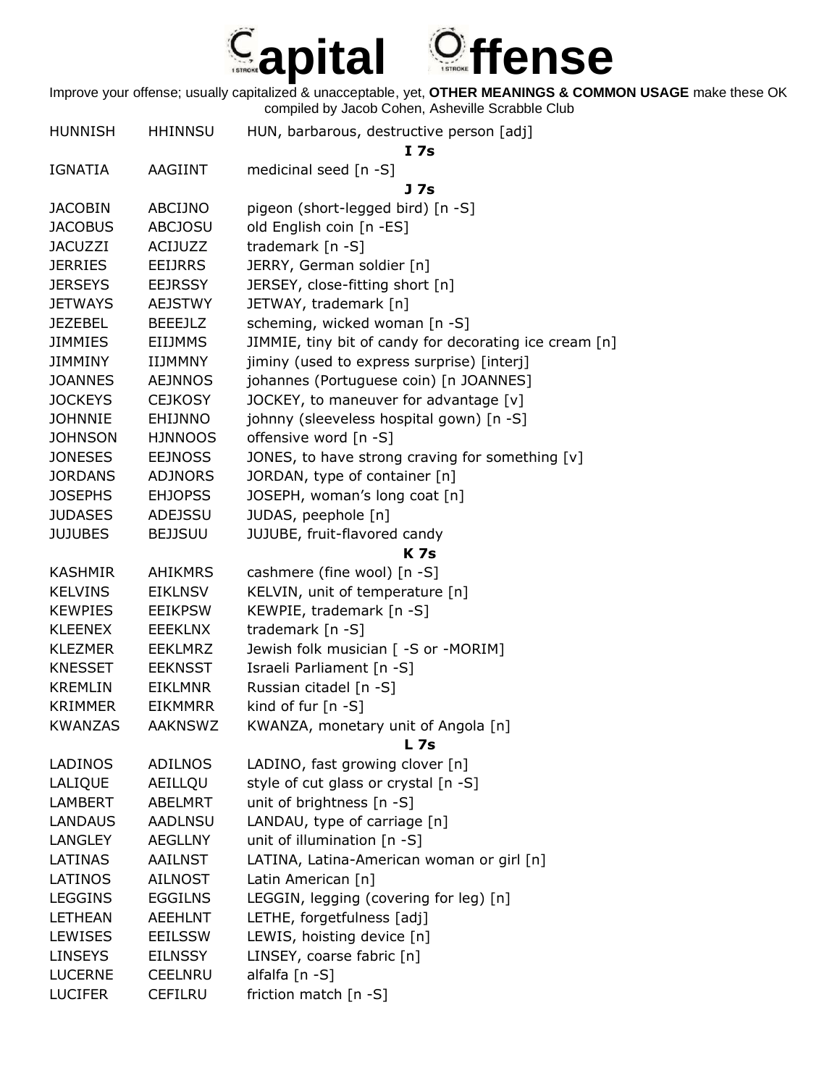

| <b>HUNNISH</b> | <b>HHINNSU</b> | HUN, barbarous, destructive person [adj]<br>I <sub>7s</sub> |
|----------------|----------------|-------------------------------------------------------------|
| IGNATIA        | <b>AAGIINT</b> | medicinal seed [n -S]<br>J 7s                               |
| <b>JACOBIN</b> | ABCIJNO        | pigeon (short-legged bird) [n -S]                           |
| <b>JACOBUS</b> | <b>ABCJOSU</b> | old English coin [n -ES]                                    |
| <b>JACUZZI</b> | <b>ACIJUZZ</b> | trademark [n -S]                                            |
| <b>JERRIES</b> | <b>EEIJRRS</b> | JERRY, German soldier [n]                                   |
| <b>JERSEYS</b> | <b>EEJRSSY</b> | JERSEY, close-fitting short [n]                             |
| <b>JETWAYS</b> | <b>AEJSTWY</b> | JETWAY, trademark [n]                                       |
| <b>JEZEBEL</b> | <b>BEEEJLZ</b> | scheming, wicked woman [n -S]                               |
| JIMMIES        | <b>EIIJMMS</b> | JIMMIE, tiny bit of candy for decorating ice cream [n]      |
| JIMMINY        | IIJMMNY        | jiminy (used to express surprise) [interj]                  |
| <b>JOANNES</b> | <b>AEJNNOS</b> | johannes (Portuguese coin) [n JOANNES]                      |
| <b>JOCKEYS</b> | <b>CEJKOSY</b> | JOCKEY, to maneuver for advantage [v]                       |
| <b>JOHNNIE</b> | <b>EHIJNNO</b> | johnny (sleeveless hospital gown) [n -S]                    |
| <b>JOHNSON</b> | <b>HJNNOOS</b> | offensive word [n -S]                                       |
| <b>JONESES</b> | <b>EEJNOSS</b> | JONES, to have strong craving for something [v]             |
| <b>JORDANS</b> | <b>ADJNORS</b> | JORDAN, type of container [n]                               |
| <b>JOSEPHS</b> | <b>EHJOPSS</b> | JOSEPH, woman's long coat [n]                               |
| <b>JUDASES</b> | ADEJSSU        | JUDAS, peephole [n]                                         |
| <b>JUJUBES</b> | <b>BEJJSUU</b> | JUJUBE, fruit-flavored candy                                |
|                |                | <b>K7s</b>                                                  |
| <b>KASHMIR</b> | <b>AHIKMRS</b> | cashmere (fine wool) [n -S]                                 |
| <b>KELVINS</b> | <b>EIKLNSV</b> | KELVIN, unit of temperature [n]                             |
| <b>KEWPIES</b> | <b>EEIKPSW</b> | KEWPIE, trademark [n -S]                                    |
| <b>KLEENEX</b> | <b>EEEKLNX</b> | trademark [n -S]                                            |
| <b>KLEZMER</b> | <b>EEKLMRZ</b> | Jewish folk musician [ -S or -MORIM]                        |
| <b>KNESSET</b> | <b>EEKNSST</b> | Israeli Parliament [n -S]                                   |
| <b>KREMLIN</b> | <b>EIKLMNR</b> | Russian citadel [n -S]                                      |
| <b>KRIMMER</b> | <b>EIKMMRR</b> | kind of fur [n -S]                                          |
| <b>KWANZAS</b> | <b>AAKNSWZ</b> | KWANZA, monetary unit of Angola [n]<br>$L$ 7s               |
| <b>LADINOS</b> | <b>ADILNOS</b> | LADINO, fast growing clover [n]                             |
| <b>LALIQUE</b> | AEILLQU        | style of cut glass or crystal [n -S]                        |
| <b>LAMBERT</b> | ABELMRT        | unit of brightness [n -S]                                   |
| <b>LANDAUS</b> | <b>AADLNSU</b> | LANDAU, type of carriage [n]                                |
| <b>LANGLEY</b> | <b>AEGLLNY</b> | unit of illumination [n -S]                                 |
| <b>LATINAS</b> | <b>AAILNST</b> | LATINA, Latina-American woman or girl [n]                   |
| <b>LATINOS</b> | <b>AILNOST</b> | Latin American [n]                                          |
| <b>LEGGINS</b> | <b>EGGILNS</b> | LEGGIN, legging (covering for leg) [n]                      |
| <b>LETHEAN</b> | <b>AEEHLNT</b> | LETHE, forgetfulness [adj]                                  |
| <b>LEWISES</b> | <b>EEILSSW</b> | LEWIS, hoisting device [n]                                  |
| <b>LINSEYS</b> | <b>EILNSSY</b> | LINSEY, coarse fabric [n]                                   |
| <b>LUCERNE</b> | <b>CEELNRU</b> | alfalfa [n -S]                                              |
| <b>LUCIFER</b> | <b>CEFILRU</b> | friction match [n -S]                                       |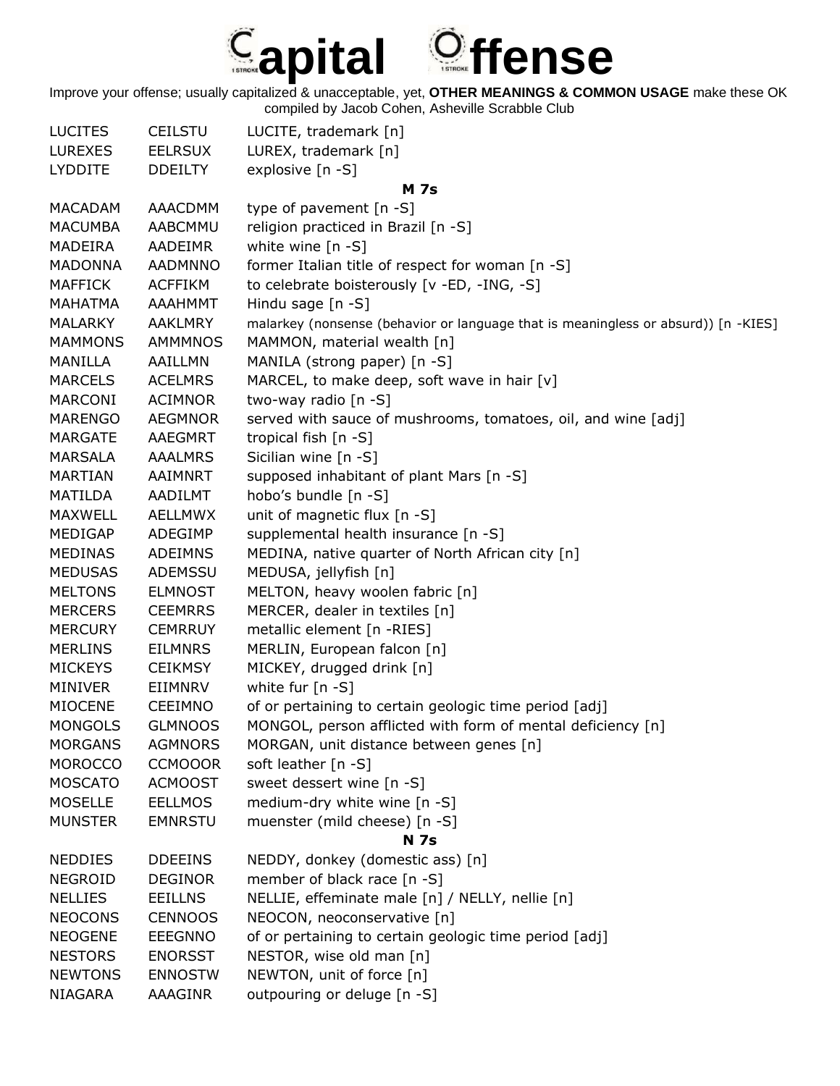

| <b>LUCITES</b> | <b>CEILSTU</b> | LUCITE, trademark [n]                                                              |
|----------------|----------------|------------------------------------------------------------------------------------|
| <b>LUREXES</b> | <b>EELRSUX</b> | LUREX, trademark [n]                                                               |
| <b>LYDDITE</b> | <b>DDEILTY</b> | explosive [n -S]                                                                   |
|                |                | <b>M</b> 7s                                                                        |
| <b>MACADAM</b> | <b>AAACDMM</b> | type of pavement [n -S]                                                            |
| <b>MACUMBA</b> | AABCMMU        | religion practiced in Brazil [n -S]                                                |
| MADEIRA        | AADEIMR        | white wine $[n -S]$                                                                |
| <b>MADONNA</b> | AADMNNO        | former Italian title of respect for woman [n -S]                                   |
| <b>MAFFICK</b> | <b>ACFFIKM</b> | to celebrate boisterously [v -ED, -ING, -S]                                        |
| <b>MAHATMA</b> | <b>AAAHMMT</b> | Hindu sage [n -S]                                                                  |
| <b>MALARKY</b> | <b>AAKLMRY</b> | malarkey (nonsense (behavior or language that is meaningless or absurd)) [n -KIES] |
| <b>MAMMONS</b> | <b>AMMMNOS</b> | MAMMON, material wealth [n]                                                        |
| <b>MANILLA</b> | AAILLMN        | MANILA (strong paper) [n -S]                                                       |
| <b>MARCELS</b> | <b>ACELMRS</b> | MARCEL, to make deep, soft wave in hair [v]                                        |
| <b>MARCONI</b> | <b>ACIMNOR</b> | two-way radio [n -S]                                                               |
| <b>MARENGO</b> | <b>AEGMNOR</b> | served with sauce of mushrooms, tomatoes, oil, and wine [adj]                      |
| <b>MARGATE</b> | <b>AAEGMRT</b> | tropical fish [n -S]                                                               |
| <b>MARSALA</b> | <b>AAALMRS</b> | Sicilian wine [n -S]                                                               |
| <b>MARTIAN</b> | AAIMNRT        | supposed inhabitant of plant Mars [n -S]                                           |
| <b>MATILDA</b> | AADILMT        | hobo's bundle [n -S]                                                               |
| <b>MAXWELL</b> | <b>AELLMWX</b> | unit of magnetic flux [n -S]                                                       |
| MEDIGAP        | ADEGIMP        | supplemental health insurance [n -S]                                               |
| <b>MEDINAS</b> | <b>ADEIMNS</b> | MEDINA, native quarter of North African city [n]                                   |
| <b>MEDUSAS</b> | ADEMSSU        | MEDUSA, jellyfish [n]                                                              |
| <b>MELTONS</b> | <b>ELMNOST</b> | MELTON, heavy woolen fabric [n]                                                    |
| <b>MERCERS</b> | <b>CEEMRRS</b> | MERCER, dealer in textiles [n]                                                     |
| <b>MERCURY</b> | <b>CEMRRUY</b> | metallic element [n -RIES]                                                         |
|                |                |                                                                                    |
| <b>MERLINS</b> | <b>EILMNRS</b> | MERLIN, European falcon [n]                                                        |
| <b>MICKEYS</b> | <b>CEIKMSY</b> | MICKEY, drugged drink [n]                                                          |
| <b>MINIVER</b> | EIIMNRV        | white fur $[n - S]$                                                                |
| <b>MIOCENE</b> | <b>CEEIMNO</b> | of or pertaining to certain geologic time period [adj]                             |
| <b>MONGOLS</b> | <b>GLMNOOS</b> | MONGOL, person afflicted with form of mental deficiency [n]                        |
| <b>MORGANS</b> | <b>AGMNORS</b> | MORGAN, unit distance between genes [n]                                            |
| <b>MOROCCO</b> | <b>CCMOOOR</b> | soft leather [n -S]                                                                |
| <b>MOSCATO</b> | <b>ACMOOST</b> | sweet dessert wine [n -S]                                                          |
| <b>MOSELLE</b> | <b>EELLMOS</b> | medium-dry white wine [n -S]                                                       |
| <b>MUNSTER</b> | <b>EMNRSTU</b> | muenster (mild cheese) [n -S]                                                      |
|                |                | <b>N</b> 7s                                                                        |
| <b>NEDDIES</b> | <b>DDEEINS</b> | NEDDY, donkey (domestic ass) [n]                                                   |
| <b>NEGROID</b> | <b>DEGINOR</b> | member of black race [n -S]                                                        |
| <b>NELLIES</b> | <b>EEILLNS</b> | NELLIE, effeminate male [n] / NELLY, nellie [n]                                    |
| <b>NEOCONS</b> | <b>CENNOOS</b> | NEOCON, neoconservative [n]                                                        |
| <b>NEOGENE</b> | <b>EEEGNNO</b> | of or pertaining to certain geologic time period [adj]                             |
| <b>NESTORS</b> | <b>ENORSST</b> | NESTOR, wise old man [n]                                                           |
| <b>NEWTONS</b> | <b>ENNOSTW</b> | NEWTON, unit of force [n]                                                          |
| NIAGARA        | AAAGINR        | outpouring or deluge [n -S]                                                        |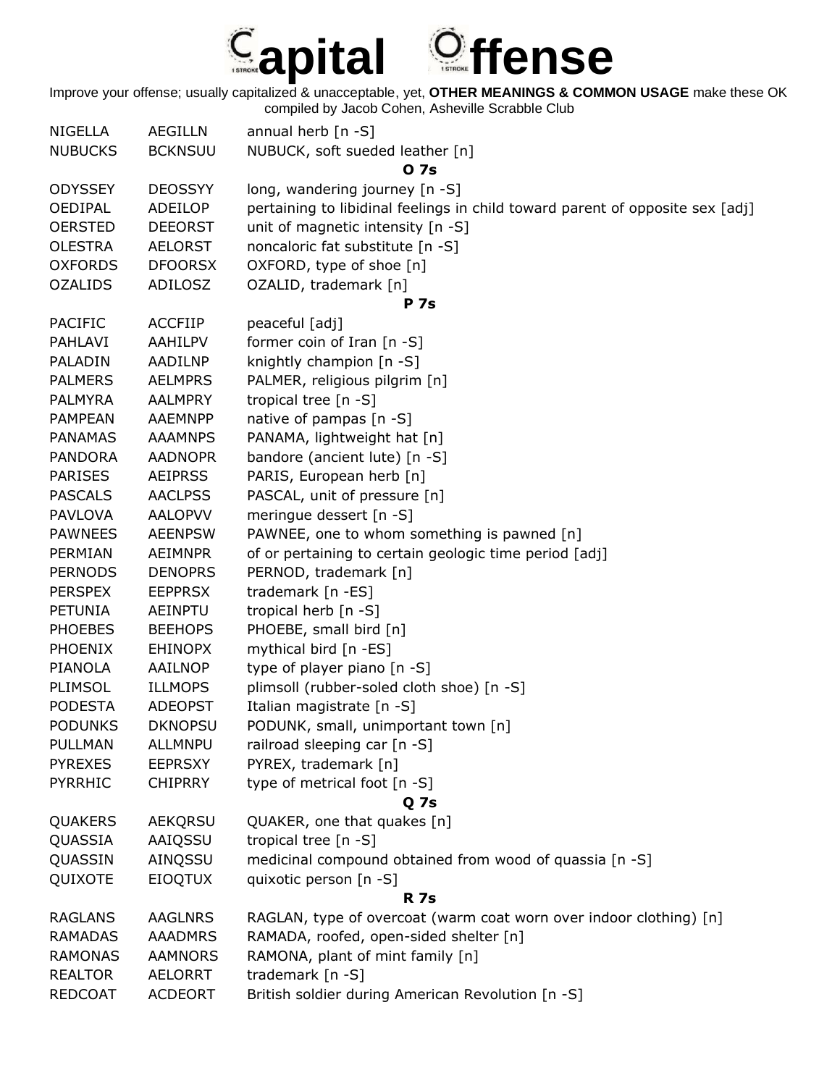

| <b>NIGELLA</b> | <b>AEGILLN</b> | annual herb $[n -S]$                                                          |
|----------------|----------------|-------------------------------------------------------------------------------|
| <b>NUBUCKS</b> | <b>BCKNSUU</b> | NUBUCK, soft sueded leather [n]                                               |
|                |                | 0 7s                                                                          |
| <b>ODYSSEY</b> | <b>DEOSSYY</b> | long, wandering journey [n -S]                                                |
| <b>OEDIPAL</b> | ADEILOP        | pertaining to libidinal feelings in child toward parent of opposite sex [adj] |
| <b>OERSTED</b> | <b>DEEORST</b> | unit of magnetic intensity [n -S]                                             |
| <b>OLESTRA</b> | <b>AELORST</b> | noncaloric fat substitute [n -S]                                              |
| <b>OXFORDS</b> | <b>DFOORSX</b> | OXFORD, type of shoe [n]                                                      |
| <b>OZALIDS</b> | ADILOSZ        | OZALID, trademark [n]                                                         |
|                |                | <b>P</b> 7s                                                                   |
| <b>PACIFIC</b> | <b>ACCFIIP</b> | peaceful [adj]                                                                |
| PAHLAVI        | <b>AAHILPV</b> | former coin of Iran $[n - S]$                                                 |
| PALADIN        | AADILNP        | knightly champion [n -S]                                                      |
| <b>PALMERS</b> | <b>AELMPRS</b> | PALMER, religious pilgrim [n]                                                 |
| <b>PALMYRA</b> | <b>AALMPRY</b> | tropical tree $[n - S]$                                                       |
| <b>PAMPEAN</b> | AAEMNPP        | native of pampas [n -S]                                                       |
| <b>PANAMAS</b> | <b>AAAMNPS</b> | PANAMA, lightweight hat [n]                                                   |
| <b>PANDORA</b> | <b>AADNOPR</b> | bandore (ancient lute) [n -S]                                                 |
| <b>PARISES</b> | <b>AEIPRSS</b> | PARIS, European herb [n]                                                      |
| <b>PASCALS</b> | <b>AACLPSS</b> | PASCAL, unit of pressure [n]                                                  |
| <b>PAVLOVA</b> | <b>AALOPVV</b> | meringue dessert [n -S]                                                       |
| <b>PAWNEES</b> | <b>AEENPSW</b> | PAWNEE, one to whom something is pawned [n]                                   |
| PERMIAN        | <b>AEIMNPR</b> | of or pertaining to certain geologic time period [adj]                        |
| <b>PERNODS</b> | <b>DENOPRS</b> | PERNOD, trademark [n]                                                         |
| <b>PERSPEX</b> | <b>EEPPRSX</b> |                                                                               |
|                |                | trademark [n -ES]                                                             |
| <b>PETUNIA</b> | <b>AEINPTU</b> | tropical herb [n -S]                                                          |
| <b>PHOEBES</b> | <b>BEEHOPS</b> | PHOEBE, small bird [n]                                                        |
| <b>PHOENIX</b> | <b>EHINOPX</b> | mythical bird [n -ES]                                                         |
| <b>PIANOLA</b> | AAILNOP        | type of player piano [n -S]                                                   |
| PLIMSOL        | <b>ILLMOPS</b> | plimsoll (rubber-soled cloth shoe) [n -S]                                     |
| <b>PODESTA</b> | <b>ADEOPST</b> | Italian magistrate [n -S]                                                     |
| <b>PODUNKS</b> | <b>DKNOPSU</b> | PODUNK, small, unimportant town [n]                                           |
| <b>PULLMAN</b> | <b>ALLMNPU</b> | railroad sleeping car [n -S]                                                  |
| <b>PYREXES</b> | <b>EEPRSXY</b> | PYREX, trademark [n]                                                          |
| <b>PYRRHIC</b> | <b>CHIPRRY</b> | type of metrical foot [n -S]                                                  |
|                |                | Q 7s                                                                          |
| QUAKERS        | AEKQRSU        | QUAKER, one that quakes [n]                                                   |
| QUASSIA        | AAIQSSU        | tropical tree [n -S]                                                          |
| QUASSIN        | AINQSSU        | medicinal compound obtained from wood of quassia [n -S]                       |
| QUIXOTE        | <b>EIOQTUX</b> | quixotic person [n -S]                                                        |
|                |                | <b>R</b> 7s                                                                   |
| <b>RAGLANS</b> | <b>AAGLNRS</b> | RAGLAN, type of overcoat (warm coat worn over indoor clothing) [n]            |
| <b>RAMADAS</b> | <b>AAADMRS</b> | RAMADA, roofed, open-sided shelter [n]                                        |
| <b>RAMONAS</b> | <b>AAMNORS</b> | RAMONA, plant of mint family [n]                                              |
| <b>REALTOR</b> | <b>AELORRT</b> | trademark [n -S]                                                              |
| <b>REDCOAT</b> | <b>ACDEORT</b> | British soldier during American Revolution [n -S]                             |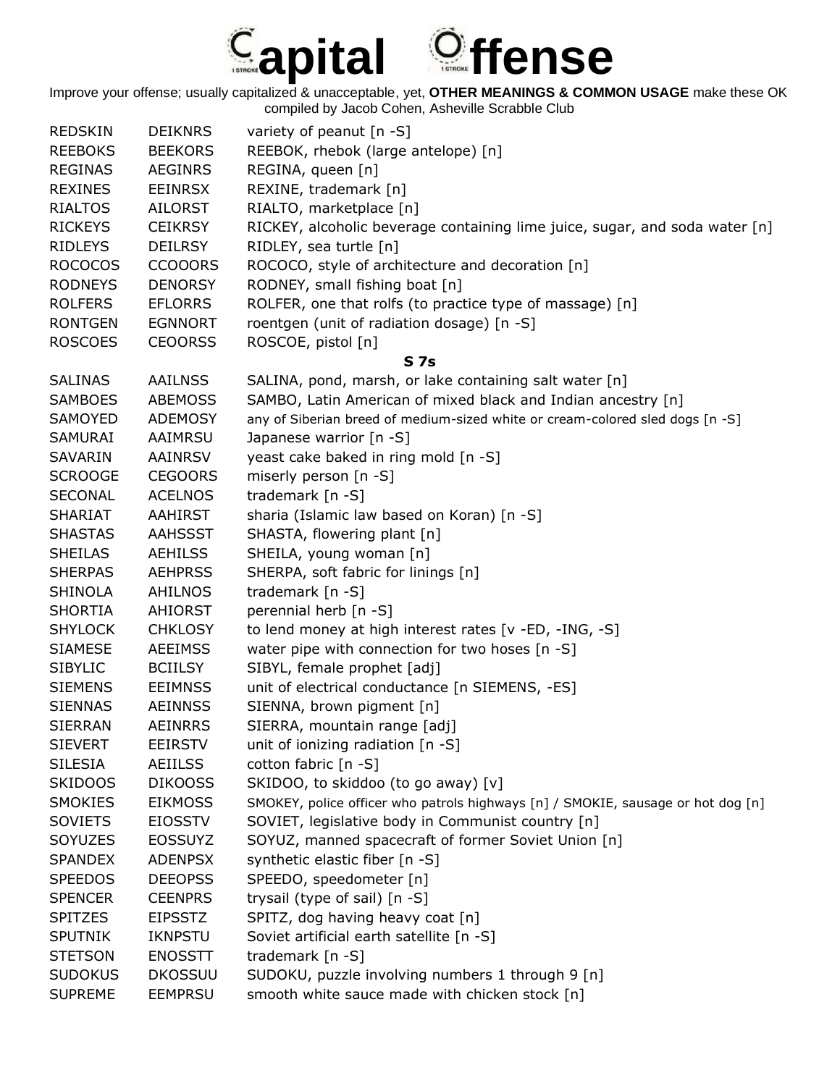## **apital ffense**

| REDSKIN        | <b>DEIKNRS</b> | variety of peanut $[n - S]$                                                      |
|----------------|----------------|----------------------------------------------------------------------------------|
| <b>REEBOKS</b> | <b>BEEKORS</b> | REEBOK, rhebok (large antelope) [n]                                              |
| <b>REGINAS</b> | <b>AEGINRS</b> | REGINA, queen [n]                                                                |
| <b>REXINES</b> | <b>EEINRSX</b> | REXINE, trademark [n]                                                            |
| <b>RIALTOS</b> | <b>AILORST</b> | RIALTO, marketplace [n]                                                          |
| <b>RICKEYS</b> | <b>CEIKRSY</b> | RICKEY, alcoholic beverage containing lime juice, sugar, and soda water [n]      |
| <b>RIDLEYS</b> | <b>DEILRSY</b> | RIDLEY, sea turtle [n]                                                           |
| <b>ROCOCOS</b> | <b>CCOOORS</b> | ROCOCO, style of architecture and decoration [n]                                 |
| <b>RODNEYS</b> | <b>DENORSY</b> | RODNEY, small fishing boat [n]                                                   |
| <b>ROLFERS</b> | <b>EFLORRS</b> | ROLFER, one that rolfs (to practice type of massage) [n]                         |
| <b>RONTGEN</b> | <b>EGNNORT</b> | roentgen (unit of radiation dosage) [n -S]                                       |
| <b>ROSCOES</b> | <b>CEOORSS</b> | ROSCOE, pistol [n]                                                               |
|                |                | S <sub>7s</sub>                                                                  |
| <b>SALINAS</b> | <b>AAILNSS</b> | SALINA, pond, marsh, or lake containing salt water [n]                           |
| <b>SAMBOES</b> | <b>ABEMOSS</b> | SAMBO, Latin American of mixed black and Indian ancestry [n]                     |
| SAMOYED        | ADEMOSY        | any of Siberian breed of medium-sized white or cream-colored sled dogs [n -S]    |
| SAMURAI        | AAIMRSU        | Japanese warrior [n -S]                                                          |
| <b>SAVARIN</b> | <b>AAINRSV</b> | yeast cake baked in ring mold [n -S]                                             |
| <b>SCROOGE</b> | <b>CEGOORS</b> | miserly person [n -S]                                                            |
| <b>SECONAL</b> | <b>ACELNOS</b> | trademark [n -S]                                                                 |
| <b>SHARIAT</b> | AAHIRST        | sharia (Islamic law based on Koran) [n -S]                                       |
| <b>SHASTAS</b> | AAHSSST        | SHASTA, flowering plant [n]                                                      |
| <b>SHEILAS</b> | <b>AEHILSS</b> | SHEILA, young woman [n]                                                          |
| <b>SHERPAS</b> | <b>AEHPRSS</b> | SHERPA, soft fabric for linings [n]                                              |
| <b>SHINOLA</b> | AHILNOS        | trademark [n -S]                                                                 |
| <b>SHORTIA</b> | <b>AHIORST</b> | perennial herb [n -S]                                                            |
| <b>SHYLOCK</b> | <b>CHKLOSY</b> | to lend money at high interest rates [v -ED, -ING, -S]                           |
| <b>SIAMESE</b> | <b>AEEIMSS</b> | water pipe with connection for two hoses [n -S]                                  |
| <b>SIBYLIC</b> | <b>BCIILSY</b> | SIBYL, female prophet [adj]                                                      |
| <b>SIEMENS</b> | <b>EEIMNSS</b> | unit of electrical conductance [n SIEMENS, -ES]                                  |
| <b>SIENNAS</b> | <b>AEINNSS</b> | SIENNA, brown pigment [n]                                                        |
| <b>SIERRAN</b> | <b>AEINRRS</b> | SIERRA, mountain range [adj]                                                     |
| <b>SIEVERT</b> | <b>EEIRSTV</b> | unit of ionizing radiation [n -S]                                                |
| <b>SILESIA</b> | <b>AEIILSS</b> | cotton fabric [n -S]                                                             |
| <b>SKIDOOS</b> | <b>DIKOOSS</b> | SKIDOO, to skiddoo (to go away) [v]                                              |
| <b>SMOKIES</b> | <b>EIKMOSS</b> | SMOKEY, police officer who patrols highways [n] / SMOKIE, sausage or hot dog [n] |
| <b>SOVIETS</b> | <b>EIOSSTV</b> | SOVIET, legislative body in Communist country [n]                                |
| SOYUZES        | <b>EOSSUYZ</b> | SOYUZ, manned spacecraft of former Soviet Union [n]                              |
| <b>SPANDEX</b> | <b>ADENPSX</b> | synthetic elastic fiber [n -S]                                                   |
| <b>SPEEDOS</b> | <b>DEEOPSS</b> | SPEEDO, speedometer [n]                                                          |
| <b>SPENCER</b> | <b>CEENPRS</b> | trysail (type of sail) [n -S]                                                    |
| <b>SPITZES</b> | <b>EIPSSTZ</b> | SPITZ, dog having heavy coat [n]                                                 |
| <b>SPUTNIK</b> | <b>IKNPSTU</b> | Soviet artificial earth satellite [n -S]                                         |
| <b>STETSON</b> | <b>ENOSSTT</b> | trademark $[n -S]$                                                               |
| <b>SUDOKUS</b> | <b>DKOSSUU</b> | SUDOKU, puzzle involving numbers 1 through 9 [n]                                 |
| <b>SUPREME</b> | <b>EEMPRSU</b> | smooth white sauce made with chicken stock [n]                                   |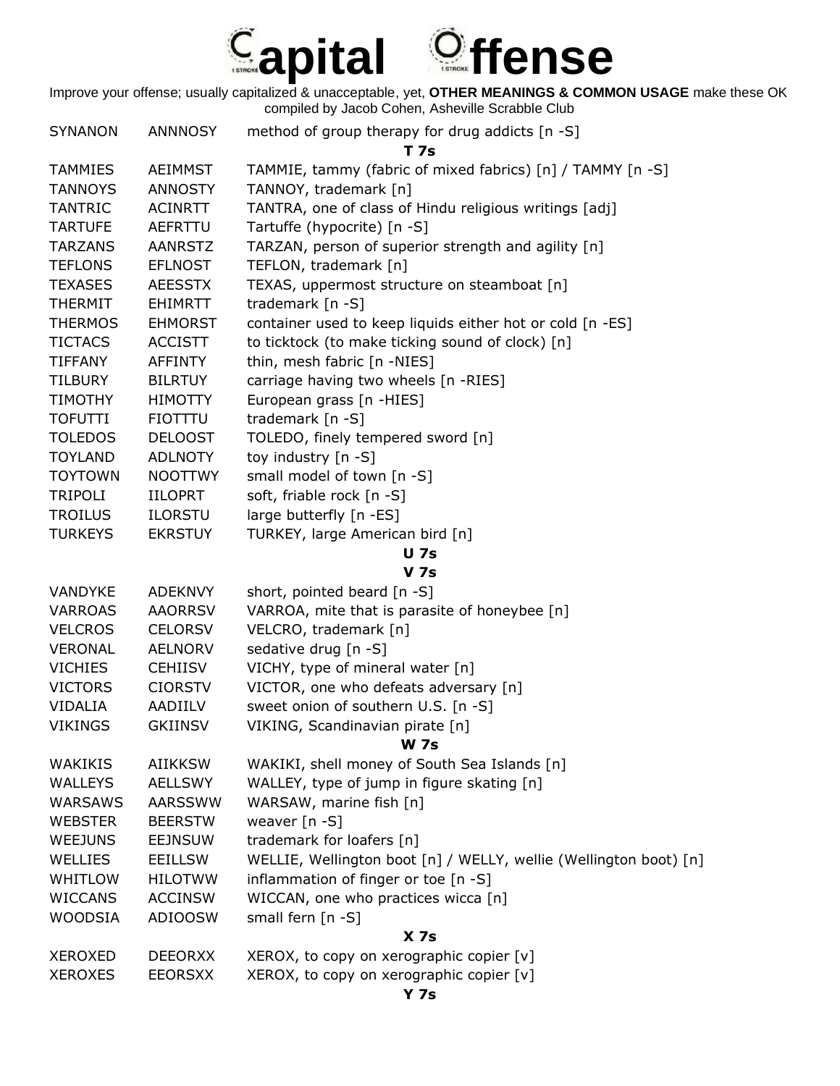

| <b>SYNANON</b>                   | <b>ANNNOSY</b>                   | method of group therapy for drug addicts [n -S]                                                           |
|----------------------------------|----------------------------------|-----------------------------------------------------------------------------------------------------------|
|                                  |                                  | T 7s                                                                                                      |
| <b>TAMMIES</b>                   | <b>AEIMMST</b>                   | TAMMIE, tammy (fabric of mixed fabrics) [n] / TAMMY [n -S]                                                |
| <b>TANNOYS</b>                   | <b>ANNOSTY</b>                   | TANNOY, trademark [n]                                                                                     |
| <b>TANTRIC</b>                   | <b>ACINRTT</b>                   | TANTRA, one of class of Hindu religious writings [adj]                                                    |
| <b>TARTUFE</b>                   | AEFRTTU                          | Tartuffe (hypocrite) [n -S]                                                                               |
| <b>TARZANS</b>                   | <b>AANRSTZ</b>                   | TARZAN, person of superior strength and agility [n]                                                       |
| <b>TEFLONS</b>                   | <b>EFLNOST</b>                   | TEFLON, trademark [n]                                                                                     |
| <b>TEXASES</b>                   | <b>AEESSTX</b>                   | TEXAS, uppermost structure on steamboat [n]                                                               |
| <b>THERMIT</b>                   | <b>EHIMRTT</b>                   | trademark [n -S]                                                                                          |
| <b>THERMOS</b>                   | <b>EHMORST</b>                   | container used to keep liquids either hot or cold [n -ES]                                                 |
| <b>TICTACS</b>                   | <b>ACCISTT</b>                   | to ticktock (to make ticking sound of clock) [n]                                                          |
| <b>TIFFANY</b>                   | AFFINTY                          | thin, mesh fabric [n -NIES]                                                                               |
| <b>TILBURY</b>                   | <b>BILRTUY</b>                   | carriage having two wheels [n -RIES]                                                                      |
| <b>TIMOTHY</b>                   | <b>HIMOTTY</b>                   | European grass [n -HIES]                                                                                  |
| <b>TOFUTTI</b>                   | <b>FIOTTTU</b>                   | trademark [n -S]                                                                                          |
| <b>TOLEDOS</b>                   | <b>DELOOST</b>                   | TOLEDO, finely tempered sword [n]                                                                         |
| <b>TOYLAND</b>                   | <b>ADLNOTY</b>                   | toy industry [n -S]                                                                                       |
| <b>TOYTOWN</b>                   | <b>NOOTTWY</b>                   | small model of town [n -S]                                                                                |
| <b>TRIPOLI</b>                   | <b>IILOPRT</b>                   | soft, friable rock [n -S]                                                                                 |
| <b>TROILUS</b>                   | <b>ILORSTU</b>                   | large butterfly [n -ES]                                                                                   |
| <b>TURKEYS</b>                   | <b>EKRSTUY</b>                   | TURKEY, large American bird [n]                                                                           |
|                                  |                                  | <b>U</b> 7s                                                                                               |
|                                  |                                  | <b>V</b> 7s                                                                                               |
| VANDYKE                          | <b>ADEKNVY</b>                   | short, pointed beard [n -S]                                                                               |
| <b>VARROAS</b>                   | <b>AAORRSV</b>                   | VARROA, mite that is parasite of honeybee [n]                                                             |
| <b>VELCROS</b>                   | <b>CELORSV</b>                   | VELCRO, trademark [n]                                                                                     |
| <b>VERONAL</b><br><b>VICHIES</b> | <b>AELNORV</b>                   | sedative drug [n -S]                                                                                      |
|                                  | <b>CEHIISV</b><br><b>CIORSTV</b> | VICHY, type of mineral water [n]<br>VICTOR, one who defeats adversary [n]                                 |
| <b>VICTORS</b>                   |                                  |                                                                                                           |
| <b>VIDALIA</b>                   | AADIILV                          | sweet onion of southern U.S. [n -S]                                                                       |
| <b>VIKINGS</b>                   | <b>GKIINSV</b>                   | VIKING, Scandinavian pirate [n]<br><b>W 7s</b>                                                            |
|                                  | <b>AIIKKSW</b>                   |                                                                                                           |
| WAKIKIS                          | <b>AELLSWY</b>                   | WAKIKI, shell money of South Sea Islands [n]<br>WALLEY, type of jump in figure skating [n]                |
| <b>WALLEYS</b>                   |                                  |                                                                                                           |
| <b>WARSAWS</b><br><b>WEBSTER</b> | AARSSWW<br><b>BEERSTW</b>        | WARSAW, marine fish [n]<br>weaver $[n - S]$                                                               |
| WEEJUNS                          |                                  |                                                                                                           |
|                                  | <b>EEJNSUW</b>                   | trademark for loafers [n]                                                                                 |
| WELLIES<br><b>WHITLOW</b>        | <b>EEILLSW</b>                   | WELLIE, Wellington boot [n] / WELLY, wellie (Wellington boot) [n]<br>inflammation of finger or toe [n -S] |
|                                  | <b>HILOTWW</b>                   |                                                                                                           |
| <b>WICCANS</b>                   | <b>ACCINSW</b>                   | WICCAN, one who practices wicca [n]<br>small fern [n -S]                                                  |
| <b>WOODSIA</b>                   | <b>ADIOOSW</b>                   | X <sub>7s</sub>                                                                                           |
| <b>XEROXED</b>                   | <b>DEEORXX</b>                   | XEROX, to copy on xerographic copier [v]                                                                  |
|                                  |                                  |                                                                                                           |
| <b>XEROXES</b>                   | <b>EEORSXX</b>                   | XEROX, to copy on xerographic copier [v]                                                                  |